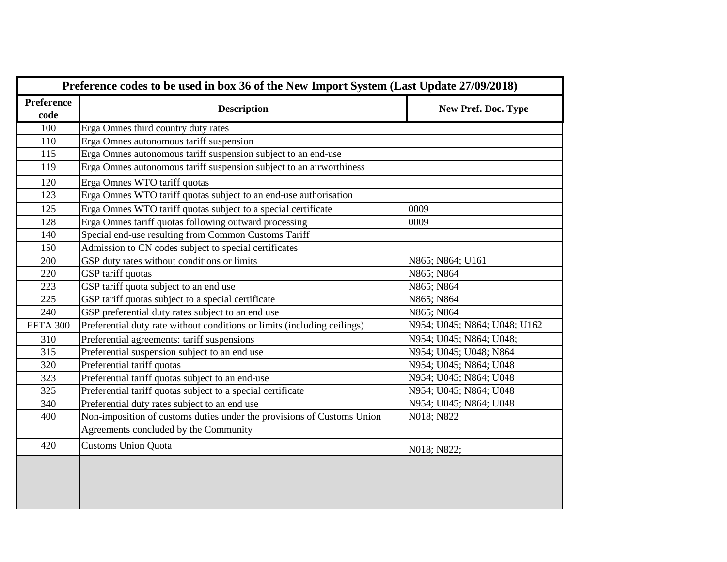| Preference codes to be used in box 36 of the New Import System (Last Update 27/09/2018) |                                                                          |                              |  |
|-----------------------------------------------------------------------------------------|--------------------------------------------------------------------------|------------------------------|--|
| Preference<br>code                                                                      | <b>Description</b>                                                       | New Pref. Doc. Type          |  |
| 100                                                                                     | Erga Omnes third country duty rates                                      |                              |  |
| 110                                                                                     | Erga Omnes autonomous tariff suspension                                  |                              |  |
| 115                                                                                     | Erga Omnes autonomous tariff suspension subject to an end-use            |                              |  |
| 119                                                                                     | Erga Omnes autonomous tariff suspension subject to an airworthiness      |                              |  |
| 120                                                                                     | Erga Omnes WTO tariff quotas                                             |                              |  |
| 123                                                                                     | Erga Omnes WTO tariff quotas subject to an end-use authorisation         |                              |  |
| 125                                                                                     | Erga Omnes WTO tariff quotas subject to a special certificate            | 0009                         |  |
| 128                                                                                     | Erga Omnes tariff quotas following outward processing                    | 0009                         |  |
| 140                                                                                     | Special end-use resulting from Common Customs Tariff                     |                              |  |
| 150                                                                                     | Admission to CN codes subject to special certificates                    |                              |  |
| 200                                                                                     | GSP duty rates without conditions or limits                              | N865; N864; U161             |  |
| 220                                                                                     | GSP tariff quotas                                                        | N865; N864                   |  |
| 223                                                                                     | GSP tariff quota subject to an end use                                   | N865; N864                   |  |
| 225                                                                                     | GSP tariff quotas subject to a special certificate                       | N865; N864                   |  |
| 240                                                                                     | GSP preferential duty rates subject to an end use                        | N865; N864                   |  |
| <b>EFTA 300</b>                                                                         | Preferential duty rate without conditions or limits (including ceilings) | N954; U045; N864; U048; U162 |  |
| 310                                                                                     | Preferential agreements: tariff suspensions                              | N954; U045; N864; U048;      |  |
| 315                                                                                     | Preferential suspension subject to an end use                            | N954; U045; U048; N864       |  |
| 320                                                                                     | Preferential tariff quotas                                               | N954; U045; N864; U048       |  |
| 323                                                                                     | Preferential tariff quotas subject to an end-use                         | N954; U045; N864; U048       |  |
| 325                                                                                     | Preferential tariff quotas subject to a special certificate              | N954; U045; N864; U048       |  |
| 340                                                                                     | Preferential duty rates subject to an end use                            | N954; U045; N864; U048       |  |
| 400                                                                                     | Non-imposition of customs duties under the provisions of Customs Union   | N018; N822                   |  |
|                                                                                         | Agreements concluded by the Community                                    |                              |  |
| 420                                                                                     | <b>Customs Union Quota</b>                                               | N018; N822;                  |  |
|                                                                                         |                                                                          |                              |  |